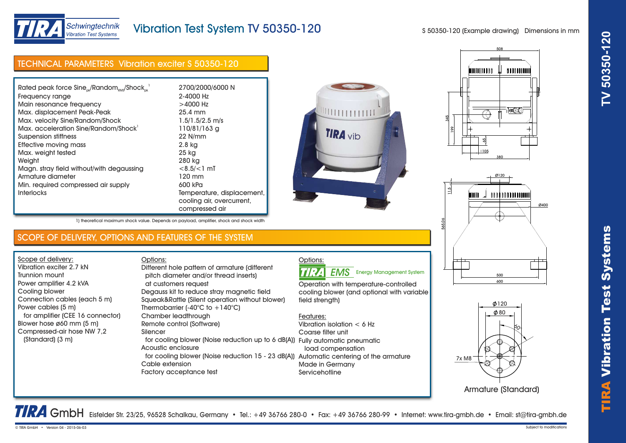

# Vibration Test System TV 50350-120

S 50350-120 (Example drawing) Dimensions in mm

## TECHNICAL PARAMETERS Vibration exciter S 50350-120

| Rated peak force $Sine_{\alpha\beta}$ /Random $_{\alpha\alpha}$ /Shock $_{\alpha\beta}$ | 2700/2000/6000 N           |
|-----------------------------------------------------------------------------------------|----------------------------|
| Frequency range                                                                         | 2-4000 Hz                  |
| Main resonance frequency                                                                | $>4000$ Hz                 |
| Max. displacement Peak-Peak                                                             | 25.4 mm                    |
| Max. velocity Sine/Random/Shock                                                         | $1.5/1.5/2.5$ m/s          |
| Max. acceleration Sine/Random/Shock <sup>1</sup>                                        | 110/81/163 g               |
| Suspension stiffness                                                                    | 22 N/mm                    |
| Effective moving mass                                                                   | 2.8 kg                     |
| Max. weight tested                                                                      | 25 kg                      |
| Weight                                                                                  | 280 kg                     |
| Magn. stray field without/with degaussing                                               | $< 8.5 / < 1$ mT           |
| Armature diameter                                                                       | 120 mm                     |
| Min. required compressed air supply                                                     | 600 kPa                    |
| <b>Interlocks</b>                                                                       | Temperature, displacement, |
|                                                                                         | cooling air, overcurrent,  |
|                                                                                         | compressed air             |









Armature (Standard)

TRA GmbH Eisfelder Str. 23/25, 96528 Schalkau, Germany • Tel.: +49 36766 280-0 • Fax: +49 36766 280-99 • Internet: www.tira-gmbh.de • Email: st@tira-gmbh.de

## SCOPE OF DELIVERY, OPTIONS AND FEATURES OF THE SYSTEM

Options:

1) theoretical maximum shock value. Depends on payload, amplifier, shock and shock width

Scope of delivery: Vibration exciter 2.7 kN Trunnion mount Power amplifier 4.2 kVA Cooling blower Connection cables (each 5 m) Power cables (5 m) for amplifier (CEE 16 connector) Blower hose ø60 mm (5 m) Compressed-air hose NW 7,2 (Standard) (3 m)

#### pitch diameter and/or thread inserts) at customers request Degauss kit to reduce stray magnetic field Squeak&Rattle (Silent operation without blower) Thermobarrier (-40 $^{\circ}$ C to +140 $^{\circ}$ C) Chamber leadthrough Remote control (Software) Silencer for cooling blower (Noise reduction up to 6 dB(A)) Fully automatic pneumatic Acoustic enclosure for cooling blower (Noise reduction 15 - 23 dB(A)) Automatic centering of the armature Different hole pattern of armature (different

Cable extension Factory acceptance test

# Options:

TIRA **EMS** Energy Management System

Operation with temperature-controlled cooling blower (and optional with variable field strenath)

### Features:

Vibration isolation < 6 Hz Coarse filter unit load compensation Made in Germany **Servicehotline**